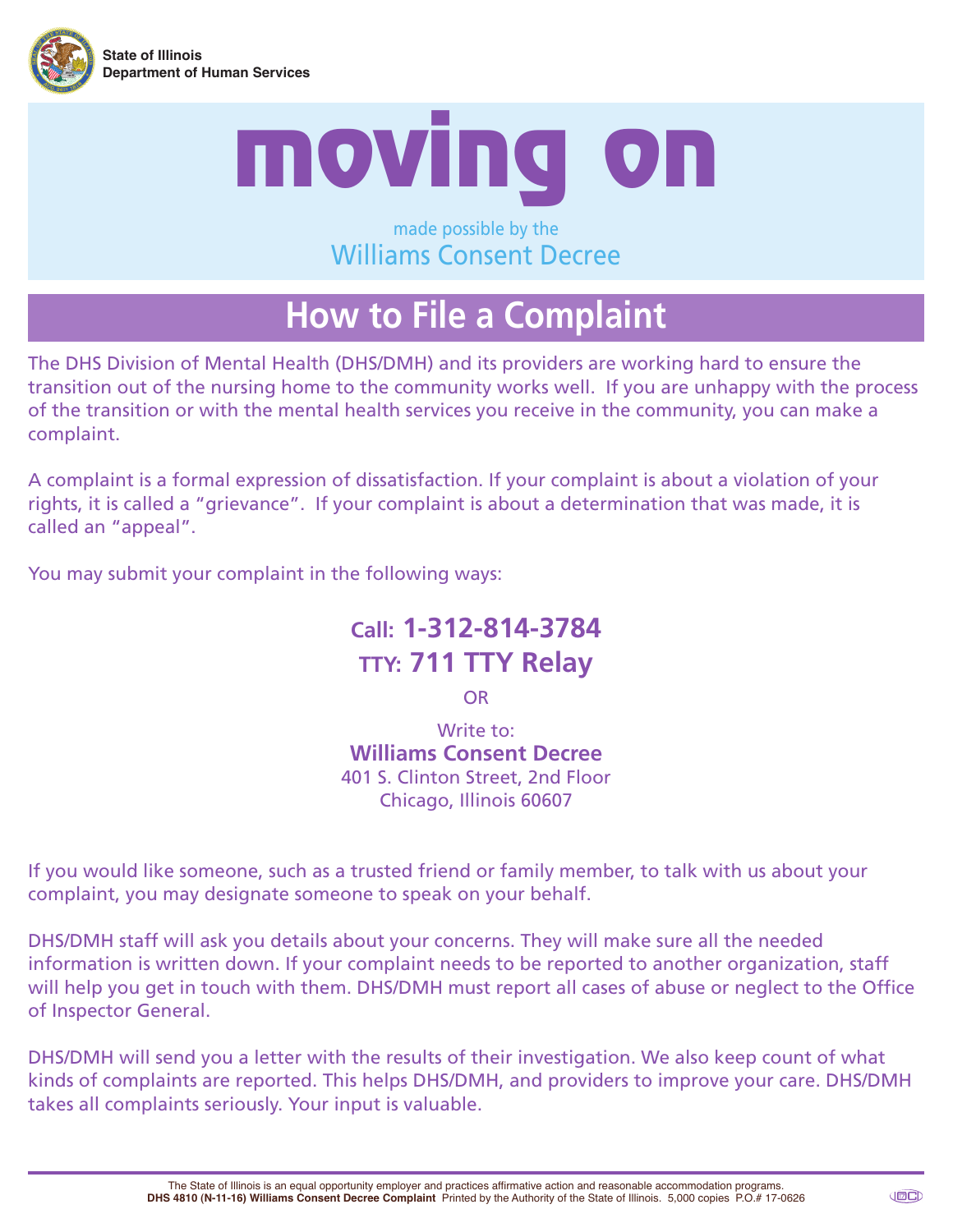



#### made possible by the Williams Consent Decree

## **How to File a Complaint**

The DHS Division of Mental Health (DHS/DMH) and its providers are working hard to ensure the transition out of the nursing home to the community works well. If you are unhappy with the process of the transition or with the mental health services you receive in the community, you can make a complaint.

A complaint is a formal expression of dissatisfaction. If your complaint is about a violation of your rights, it is called a "grievance". If your complaint is about a determination that was made, it is called an "appeal".

You may submit your complaint in the following ways:

### **Call: 1-312-814-3784 TTY: 711 TTY Relay**

OR

Write to: **Williams Consent Decree** 401 S. Clinton Street, 2nd Floor Chicago, Illinois 60607

If you would like someone, such as a trusted friend or family member, to talk with us about your complaint, you may designate someone to speak on your behalf.

DHS/DMH staff will ask you details about your concerns. They will make sure all the needed information is written down. If your complaint needs to be reported to another organization, staff will help you get in touch with them. DHS/DMH must report all cases of abuse or neglect to the Office of Inspector General.

DHS/DMH will send you a letter with the results of their investigation. We also keep count of what kinds of complaints are reported. This helps DHS/DMH, and providers to improve your care. DHS/DMH takes all complaints seriously. Your input is valuable.